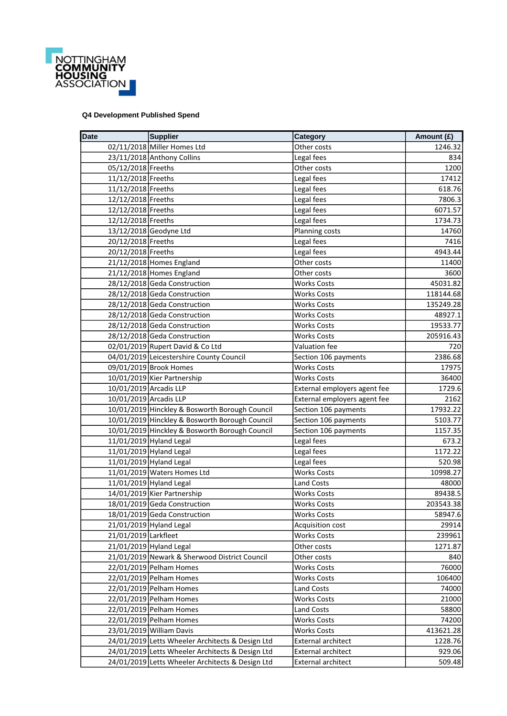

## **Q4 Development Published Spend**

| <b>Date</b>            | <b>Supplier</b>                                  | Category                     | Amount (£) |
|------------------------|--------------------------------------------------|------------------------------|------------|
|                        | 02/11/2018 Miller Homes Ltd                      | Other costs                  | 1246.32    |
|                        | 23/11/2018 Anthony Collins                       | Legal fees                   | 834        |
| 05/12/2018 Freeths     |                                                  | Other costs                  | 1200       |
| 11/12/2018 Freeths     |                                                  | Legal fees                   | 17412      |
| 11/12/2018 Freeths     |                                                  | Legal fees                   | 618.76     |
| 12/12/2018 Freeths     |                                                  | Legal fees                   | 7806.3     |
| 12/12/2018 Freeths     |                                                  | Legal fees                   | 6071.57    |
| 12/12/2018 Freeths     |                                                  | Legal fees                   | 1734.73    |
|                        | 13/12/2018 Geodyne Ltd                           | Planning costs               | 14760      |
| 20/12/2018 Freeths     |                                                  | Legal fees                   | 7416       |
| 20/12/2018 Freeths     |                                                  | Legal fees                   | 4943.44    |
|                        | 21/12/2018 Homes England                         | Other costs                  | 11400      |
|                        | 21/12/2018 Homes England                         | Other costs                  | 3600       |
|                        | 28/12/2018 Geda Construction                     | <b>Works Costs</b>           | 45031.82   |
|                        | 28/12/2018 Geda Construction                     | <b>Works Costs</b>           | 118144.68  |
|                        | 28/12/2018 Geda Construction                     | <b>Works Costs</b>           | 135249.28  |
|                        | 28/12/2018 Geda Construction                     | <b>Works Costs</b>           | 48927.1    |
|                        | 28/12/2018 Geda Construction                     | <b>Works Costs</b>           | 19533.77   |
|                        | 28/12/2018 Geda Construction                     | <b>Works Costs</b>           | 205916.43  |
|                        | 02/01/2019 Rupert David & Co Ltd                 | Valuation fee                | 720        |
|                        | 04/01/2019 Leicestershire County Council         | Section 106 payments         | 2386.68    |
|                        | 09/01/2019 Brook Homes                           | <b>Works Costs</b>           | 17975      |
|                        | 10/01/2019 Kier Partnership                      | <b>Works Costs</b>           | 36400      |
| 10/01/2019 Arcadis LLP |                                                  | External employers agent fee | 1729.6     |
| 10/01/2019 Arcadis LLP |                                                  | External employers agent fee | 2162       |
|                        | 10/01/2019 Hinckley & Bosworth Borough Council   | Section 106 payments         | 17932.22   |
|                        | 10/01/2019 Hinckley & Bosworth Borough Council   | Section 106 payments         | 5103.77    |
|                        | 10/01/2019 Hinckley & Bosworth Borough Council   | Section 106 payments         | 1157.35    |
|                        | 11/01/2019 Hyland Legal                          | Legal fees                   | 673.2      |
|                        | 11/01/2019 Hyland Legal                          | Legal fees                   | 1172.22    |
|                        | 11/01/2019 Hyland Legal                          | Legal fees                   | 520.98     |
|                        | 11/01/2019 Waters Homes Ltd                      | <b>Works Costs</b>           | 10998.27   |
|                        | 11/01/2019 Hyland Legal                          | <b>Land Costs</b>            | 48000      |
|                        | 14/01/2019 Kier Partnership                      | <b>Works Costs</b>           | 89438.5    |
|                        | 18/01/2019 Geda Construction                     | <b>Works Costs</b>           | 203543.38  |
|                        | 18/01/2019 Geda Construction                     | <b>Works Costs</b>           | 58947.6    |
|                        | 21/01/2019 Hyland Legal                          | Acquisition cost             | 29914      |
| 21/01/2019 Larkfleet   |                                                  | <b>Works Costs</b>           | 239961     |
|                        | 21/01/2019 Hyland Legal                          | Other costs                  | 1271.87    |
|                        | 21/01/2019 Newark & Sherwood District Council    | Other costs                  | 840        |
|                        | 22/01/2019 Pelham Homes                          | <b>Works Costs</b>           | 76000      |
|                        | 22/01/2019 Pelham Homes                          | <b>Works Costs</b>           | 106400     |
|                        | 22/01/2019 Pelham Homes                          | Land Costs                   | 74000      |
|                        | 22/01/2019 Pelham Homes                          | <b>Works Costs</b>           | 21000      |
|                        | 22/01/2019 Pelham Homes                          | Land Costs                   | 58800      |
|                        | 22/01/2019 Pelham Homes                          | <b>Works Costs</b>           | 74200      |
|                        | 23/01/2019 William Davis                         | <b>Works Costs</b>           | 413621.28  |
|                        | 24/01/2019 Letts Wheeler Architects & Design Ltd | <b>External architect</b>    | 1228.76    |
|                        | 24/01/2019 Letts Wheeler Architects & Design Ltd | <b>External architect</b>    | 929.06     |
|                        | 24/01/2019 Letts Wheeler Architects & Design Ltd | External architect           | 509.48     |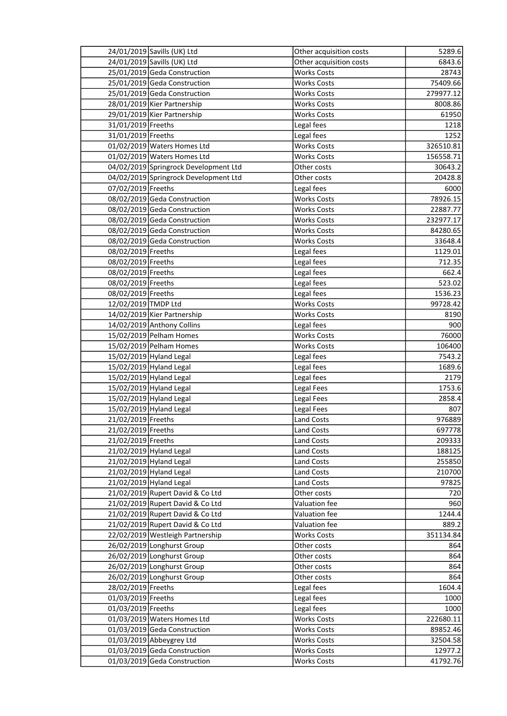|                     | 24/01/2019 Savills (UK) Ltd           | Other acquisition costs | 5289.6    |
|---------------------|---------------------------------------|-------------------------|-----------|
|                     | 24/01/2019 Savills (UK) Ltd           | Other acquisition costs | 6843.6    |
|                     | 25/01/2019 Geda Construction          | <b>Works Costs</b>      | 28743     |
|                     | 25/01/2019 Geda Construction          | <b>Works Costs</b>      | 75409.66  |
|                     | 25/01/2019 Geda Construction          | <b>Works Costs</b>      | 279977.12 |
|                     | 28/01/2019 Kier Partnership           | <b>Works Costs</b>      | 8008.86   |
|                     | 29/01/2019 Kier Partnership           | <b>Works Costs</b>      | 61950     |
| 31/01/2019 Freeths  |                                       | Legal fees              | 1218      |
| 31/01/2019 Freeths  |                                       | Legal fees              | 1252      |
|                     | 01/02/2019 Waters Homes Ltd           | <b>Works Costs</b>      | 326510.81 |
|                     | 01/02/2019 Waters Homes Ltd           | <b>Works Costs</b>      | 156558.71 |
|                     | 04/02/2019 Springrock Development Ltd | Other costs             | 30643.2   |
|                     | 04/02/2019 Springrock Development Ltd | Other costs             | 20428.8   |
| 07/02/2019 Freeths  |                                       | Legal fees              | 6000      |
|                     | 08/02/2019 Geda Construction          | <b>Works Costs</b>      | 78926.15  |
|                     | 08/02/2019 Geda Construction          | <b>Works Costs</b>      | 22887.77  |
|                     | 08/02/2019 Geda Construction          | <b>Works Costs</b>      | 232977.17 |
|                     | 08/02/2019 Geda Construction          | <b>Works Costs</b>      | 84280.65  |
|                     | 08/02/2019 Geda Construction          | <b>Works Costs</b>      | 33648.4   |
| 08/02/2019 Freeths  |                                       | Legal fees              | 1129.01   |
| 08/02/2019 Freeths  |                                       | Legal fees              | 712.35    |
| 08/02/2019 Freeths  |                                       | Legal fees              | 662.4     |
| 08/02/2019 Freeths  |                                       | Legal fees              | 523.02    |
| 08/02/2019 Freeths  |                                       | Legal fees              | 1536.23   |
| 12/02/2019 TMDP Ltd |                                       | <b>Works Costs</b>      | 99728.42  |
|                     | 14/02/2019 Kier Partnership           | <b>Works Costs</b>      | 8190      |
|                     | 14/02/2019 Anthony Collins            | Legal fees              | 900       |
|                     | 15/02/2019 Pelham Homes               | <b>Works Costs</b>      | 76000     |
|                     | 15/02/2019 Pelham Homes               | <b>Works Costs</b>      | 106400    |
|                     | 15/02/2019 Hyland Legal               | Legal fees              | 7543.2    |
|                     | 15/02/2019 Hyland Legal               | Legal fees              | 1689.6    |
|                     | 15/02/2019 Hyland Legal               | Legal fees              | 2179      |
|                     | 15/02/2019 Hyland Legal               | Legal Fees              | 1753.6    |
|                     | 15/02/2019 Hyland Legal               | Legal Fees              | 2858.4    |
|                     | 15/02/2019 Hyland Legal               | Legal Fees              | 807       |
| 21/02/2019 Freeths  |                                       | <b>Land Costs</b>       | 976889    |
| 21/02/2019 Freeths  |                                       | Land Costs              | 697778    |
| 21/02/2019 Freeths  |                                       | Land Costs              | 209333    |
|                     | 21/02/2019 Hyland Legal               | Land Costs              | 188125    |
|                     | 21/02/2019 Hyland Legal               | Land Costs              | 255850    |
|                     | 21/02/2019 Hyland Legal               | <b>Land Costs</b>       | 210700    |
|                     | 21/02/2019 Hyland Legal               | Land Costs              | 97825     |
|                     | 21/02/2019 Rupert David & Co Ltd      | Other costs             | 720       |
|                     | 21/02/2019 Rupert David & Co Ltd      | Valuation fee           | 960       |
|                     | 21/02/2019 Rupert David & Co Ltd      | Valuation fee           | 1244.4    |
|                     | 21/02/2019 Rupert David & Co Ltd      | Valuation fee           | 889.2     |
|                     | 22/02/2019 Westleigh Partnership      | <b>Works Costs</b>      | 351134.84 |
|                     | 26/02/2019 Longhurst Group            | Other costs             | 864       |
|                     | 26/02/2019 Longhurst Group            | Other costs             | 864       |
|                     | 26/02/2019 Longhurst Group            | Other costs             | 864       |
|                     | 26/02/2019 Longhurst Group            | Other costs             | 864       |
| 28/02/2019 Freeths  |                                       | Legal fees              | 1604.4    |
| 01/03/2019 Freeths  |                                       | Legal fees              | 1000      |
| 01/03/2019 Freeths  |                                       | Legal fees              | 1000      |
|                     | 01/03/2019 Waters Homes Ltd           | <b>Works Costs</b>      | 222680.11 |
|                     | 01/03/2019 Geda Construction          | <b>Works Costs</b>      | 89852.46  |
|                     | 01/03/2019 Abbeygrey Ltd              | <b>Works Costs</b>      | 32504.58  |
|                     | 01/03/2019 Geda Construction          | <b>Works Costs</b>      | 12977.2   |
|                     | 01/03/2019 Geda Construction          | <b>Works Costs</b>      | 41792.76  |
|                     |                                       |                         |           |